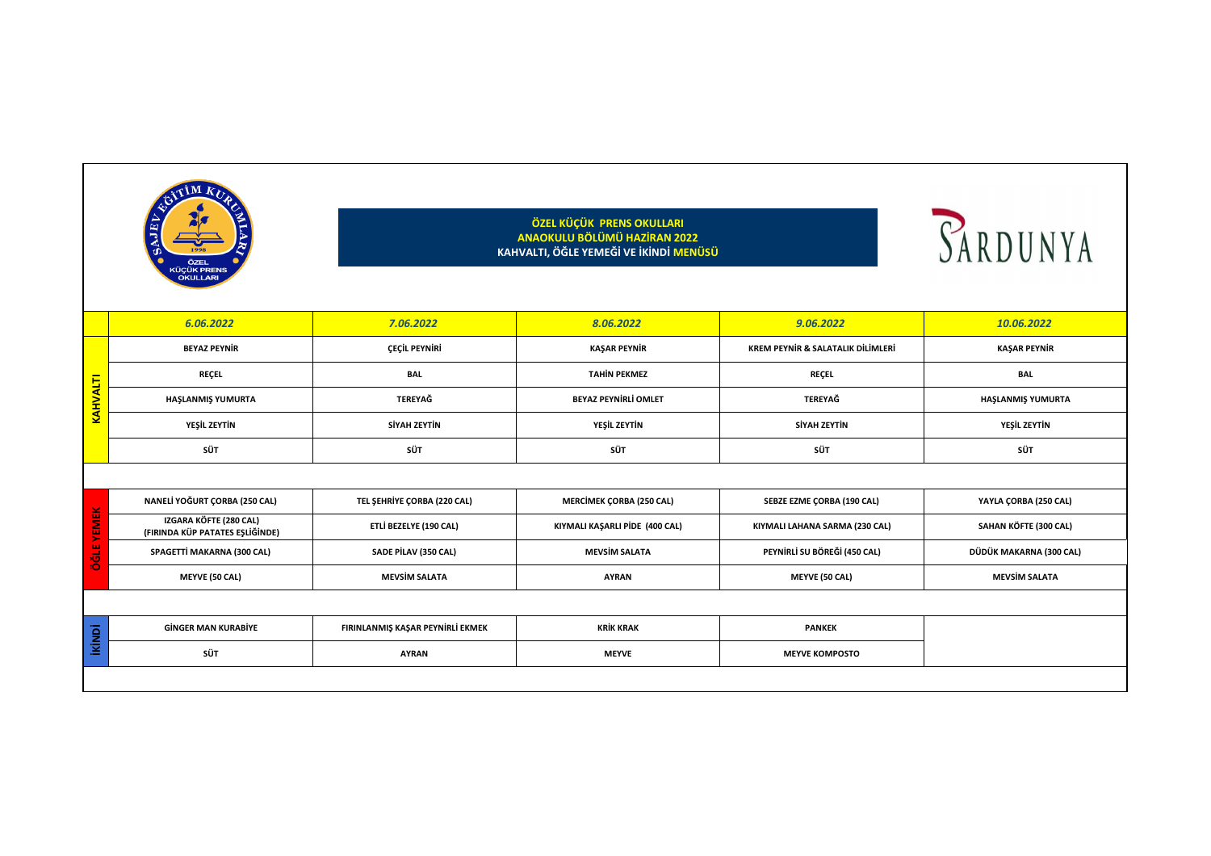



|             | 6.06.2022                                                 | 7.06.2022                        | 8.06.2022                       | 9.06.2022                                    | 10.06.2022              |
|-------------|-----------------------------------------------------------|----------------------------------|---------------------------------|----------------------------------------------|-------------------------|
|             | <b>BEYAZ PEYNIR</b>                                       | ÇEÇİL PEYNİRİ                    | <b>KAŞAR PEYNİR</b>             | <b>KREM PEYNIR &amp; SALATALIK DILIMLERI</b> | KAŞAR PEYNİR            |
| KAHVALTI    | <b>REÇEL</b>                                              | <b>BAL</b>                       | <b>TAHİN PEKMEZ</b>             | <b>REÇEL</b>                                 | <b>BAL</b>              |
|             | HAŞLANMIŞ YUMURTA                                         | <b>TEREYAĞ</b>                   | <b>BEYAZ PEYNİRLİ OMLET</b>     | <b>TEREYAĞ</b>                               | HAŞLANMIŞ YUMURTA       |
|             | <b>YEŞİL ZEYTİN</b>                                       | <b>SİYAH ZEYTİN</b>              | <b>YEŞİL ZEYTİN</b>             | <b>SİYAH ZEYTİN</b>                          | <b>YEŞİL ZEYTİN</b>     |
|             | <b>SÜT</b>                                                | <b>SÜT</b>                       | <b>SÜT</b>                      | <b>SÜT</b>                                   | <b>SÜT</b>              |
|             |                                                           |                                  |                                 |                                              |                         |
| ×           | NANELİ YOĞURT ÇORBA (250 CAL)                             | TEL ŞEHRİYE ÇORBA (220 CAL)      | <b>MERCIMEK ÇORBA (250 CAL)</b> | <b>SEBZE EZME ÇORBA (190 CAL)</b>            | YAYLA ÇORBA (250 CAL)   |
| ш<br>Σ<br>ш | IZGARA KÖFTE (280 CAL)<br>(FIRINDA KÜP PATATES EŞLİĞİNDE) | ETLİ BEZELYE (190 CAL)           | KIYMALI KAŞARLI PİDE (400 CAL)  | KIYMALI LAHANA SARMA (230 CAL)               | SAHAN KÖFTE (300 CAL)   |
| ш           | SPAGETTİ MAKARNA (300 CAL)                                | <b>SADE PILAV (350 CAL)</b>      | <b>MEVSIM SALATA</b>            | PEYNIRLI SU BÖREĞI (450 CAL)                 | DÜDÜK MAKARNA (300 CAL) |
|             | <b>MEYVE (50 CAL)</b>                                     | <b>MEVSIM SALATA</b>             | <b>AYRAN</b>                    | <b>MEYVE (50 CAL)</b>                        | <b>MEVSIM SALATA</b>    |
|             |                                                           |                                  |                                 |                                              |                         |
| ikindi      | <b>GINGER MAN KURABIYE</b>                                | FIRINLANMIŞ KAŞAR PEYNİRLİ EKMEK | <b>KRİK KRAK</b>                | <b>PANKEK</b>                                |                         |
|             | <b>SÜT</b>                                                | <b>AYRAN</b>                     | <b>MEYVE</b>                    | <b>MEYVE KOMPOSTO</b>                        |                         |
|             |                                                           |                                  |                                 |                                              |                         |

|                             | 6.06.2022                                                 | 7.06.2022                        | 8.06.2022                       | 9.06.2022                                    | 10.06.2022              |
|-----------------------------|-----------------------------------------------------------|----------------------------------|---------------------------------|----------------------------------------------|-------------------------|
|                             | <b>BEYAZ PEYNIR</b>                                       | ÇEÇİL PEYNİRİ                    | KAŞAR PEYNİR                    | <b>KREM PEYNIR &amp; SALATALIK DILIMLERI</b> | KAŞAR PEYNİR            |
| <b>KAHVALTI</b>             | <b>REÇEL</b>                                              | <b>BAL</b>                       | <b>TAHİN PEKMEZ</b>             | <b>REÇEL</b>                                 | <b>BAL</b>              |
|                             | HAŞLANMIŞ YUMURTA                                         | <b>TEREYAĞ</b>                   | <b>BEYAZ PEYNİRLİ OMLET</b>     | <b>TEREYAĞ</b>                               | HAŞLANMIŞ YUMURTA       |
|                             | <b>YEŞİL ZEYTİN</b>                                       | <b>SİYAH ZEYTİN</b>              | <b>YEŞİL ZEYTİN</b>             | <b>SİYAH ZEYTİN</b>                          | <b>YEŞİL ZEYTİN</b>     |
|                             | <b>SÜT</b>                                                | <b>SÜT</b>                       | <b>SÜT</b>                      | <b>SÜT</b>                                   | <b>SÜT</b>              |
|                             |                                                           |                                  |                                 |                                              |                         |
|                             | NANELİ YOĞURT ÇORBA (250 CAL)                             | TEL ŞEHRİYE ÇORBA (220 CAL)      | <b>MERCİMEK ÇORBA (250 CAL)</b> | SEBZE EZME ÇORBA (190 CAL)                   | YAYLA ÇORBA (250 CAL)   |
| <b>YEMEK</b><br><b>ÖĞLE</b> | IZGARA KÖFTE (280 CAL)<br>(FIRINDA KÜP PATATES EŞLİĞİNDE) | ETLİ BEZELYE (190 CAL)           | KIYMALI KAŞARLI PİDE (400 CAL)  | KIYMALI LAHANA SARMA (230 CAL)               | SAHAN KÖFTE (300 CAL)   |
|                             | SPAGETTİ MAKARNA (300 CAL)                                | SADE PİLAV (350 CAL)             | <b>MEVSIM SALATA</b>            | PEYNIRLI SU BÖREĞI (450 CAL)                 | DÜDÜK MAKARNA (300 CAL) |
|                             | <b>MEYVE (50 CAL)</b>                                     | <b>MEVSİM SALATA</b>             | <b>AYRAN</b>                    | <b>MEYVE (50 CAL)</b>                        | <b>MEVSIM SALATA</b>    |
|                             |                                                           |                                  |                                 |                                              |                         |
| <b>ikindi</b>               | <b>GINGER MAN KURABIYE</b>                                | FIRINLANMIŞ KAŞAR PEYNİRLİ EKMEK | <b>KRİK KRAK</b>                | <b>PANKEK</b>                                |                         |
|                             | <b>SÜT</b>                                                | <b>AYRAN</b>                     | <b>MEYVE</b>                    | <b>MEYVE KOMPOSTO</b>                        |                         |
|                             |                                                           |                                  |                                 |                                              |                         |

|               | 6.06.2022                                                 | 7.06.2022                        | 8.06.2022                       | 9.06.2022                                    | 10.06.2022              |
|---------------|-----------------------------------------------------------|----------------------------------|---------------------------------|----------------------------------------------|-------------------------|
|               | <b>BEYAZ PEYNİR</b>                                       | ÇEÇİL PEYNİRİ                    | <b>KAŞAR PEYNİR</b>             | <b>KREM PEYNIR &amp; SALATALIK DILIMLERI</b> | KAŞAR PEYNİR            |
|               | <b>REÇEL</b>                                              | <b>BAL</b>                       | <b>TAHİN PEKMEZ</b>             | <b>REÇEL</b>                                 | <b>BAL</b>              |
| KAHVALTI      | HAŞLANMIŞ YUMURTA                                         | TEREYAĞ                          | <b>BEYAZ PEYNİRLİ OMLET</b>     | <b>TEREYAĞ</b>                               | HAŞLANMIŞ YUMURTA       |
|               | <b>YEŞİL ZEYTİN</b>                                       | SİYAH ZEYTİN                     | YEŞİL ZEYTİN                    | SİYAH ZEYTİN                                 | <b>YEŞİL ZEYTİN</b>     |
|               | <b>SÜT</b>                                                | <b>SÜT</b>                       | <b>SÜT</b>                      | <b>SÜT</b>                                   | <b>SÜT</b>              |
|               |                                                           |                                  |                                 |                                              |                         |
|               | NANELİ YOĞURT ÇORBA (250 CAL)                             | TEL ŞEHRİYE ÇORBA (220 CAL)      | <b>MERCİMEK ÇORBA (250 CAL)</b> | <b>SEBZE EZME ÇORBA (190 CAL)</b>            | YAYLA ÇORBA (250 CAL)   |
| <b>YEMEK</b>  | IZGARA KÖFTE (280 CAL)<br>(FIRINDA KÜP PATATES EŞLİĞİNDE) | ETLİ BEZELYE (190 CAL)           | KIYMALI KAŞARLI PİDE (400 CAL)  | KIYMALI LAHANA SARMA (230 CAL)               | SAHAN KÖFTE (300 CAL)   |
| <b>JIPO</b>   | SPAGETTİ MAKARNA (300 CAL)                                | <b>SADE PILAV (350 CAL)</b>      | <b>MEVSIM SALATA</b>            | PEYNIRLI SU BÖREĞİ (450 CAL)                 | DÜDÜK MAKARNA (300 CAL) |
|               | <b>MEYVE (50 CAL)</b>                                     | <b>MEVSİM SALATA</b>             | <b>AYRAN</b>                    | <b>MEYVE (50 CAL)</b>                        | <b>MEVSIM SALATA</b>    |
|               |                                                           |                                  |                                 |                                              |                         |
| <b>ikindi</b> | <b>GINGER MAN KURABIYE</b>                                | FIRINLANMIŞ KAŞAR PEYNİRLİ EKMEK | <b>KRİK KRAK</b>                | <b>PANKEK</b>                                |                         |
|               | <b>SÜT</b>                                                | <b>AYRAN</b>                     | <b>MEYVE</b>                    | <b>MEYVE KOMPOSTO</b>                        |                         |
|               |                                                           |                                  |                                 |                                              |                         |

## **ÖZEL KÜÇÜK PRENS OKULLARI ANAOKULU BÖLÜMÜ HAZİRAN 2022 KAHVALTI, ÖĞLE YEMEĞİ VE İKİNDİ MENÜSÜ**